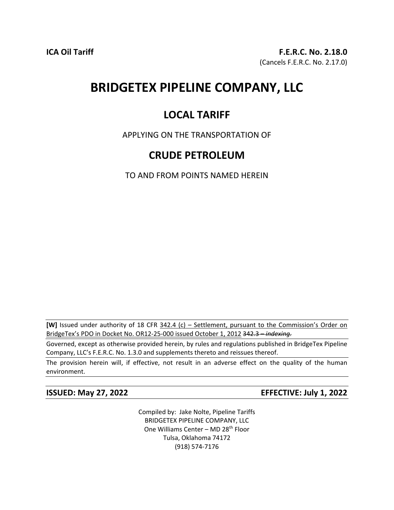# **BRIDGETEX PIPELINE COMPANY, LLC**

# **LOCAL TARIFF**

APPLYING ON THE TRANSPORTATION OF

## **CRUDE PETROLEUM**

TO AND FROM POINTS NAMED HEREIN

**[W]** Issued under authority of 18 CFR 342.4 (c) – Settlement, pursuant to the Commission's Order on BridgeTex's PDO in Docket No. OR12-25-000 issued October 1, 2012 342.3 – *indexing.*

Governed, except as otherwise provided herein, by rules and regulations published in BridgeTex Pipeline Company, LLC's F.E.R.C. No. 1.3.0 and supplements thereto and reissues thereof.

The provision herein will, if effective, not result in an adverse effect on the quality of the human environment.

**ISSUED: May 27, 2022 EFFECTIVE: July 1, 2022**

Compiled by: Jake Nolte, Pipeline Tariffs BRIDGETEX PIPELINE COMPANY, LLC One Williams Center - MD 28<sup>th</sup> Floor Tulsa, Oklahoma 74172 (918) 574-7176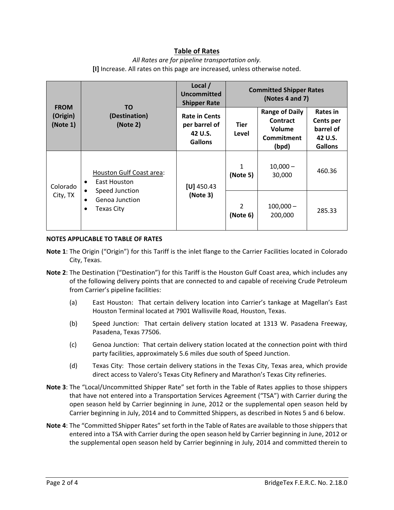### **Table of Rates**

#### *All Rates are for pipeline transportation only.* **[I]** Increase. All rates on this page are increased, unless otherwise noted.

| <b>FROM</b><br>(Origin)<br>(Note 1) | TO.<br>(Destination)<br>(Note 2)                                                                                   | Local /<br>Uncommitted<br><b>Shipper Rate</b>                      | <b>Committed Shipper Rates</b><br>(Notes 4 and 7) |                                                                    |                                                                        |
|-------------------------------------|--------------------------------------------------------------------------------------------------------------------|--------------------------------------------------------------------|---------------------------------------------------|--------------------------------------------------------------------|------------------------------------------------------------------------|
|                                     |                                                                                                                    | <b>Rate in Cents</b><br>per barrel of<br>42 U.S.<br><b>Gallons</b> | <b>Tier</b><br>Level                              | <b>Range of Daily</b><br>Contract<br>Volume<br>Commitment<br>(bpd) | Rates in<br><b>Cents per</b><br>barrel of<br>42 U.S.<br><b>Gallons</b> |
| Colorado<br>City, TX                | Houston Gulf Coast area:<br><b>East Houston</b><br>٠<br>Speed Junction<br>Genoa Junction<br><b>Texas City</b><br>٠ | $[U]$ 450.43<br>(Note 3)                                           | 1<br>(Note 5)                                     | $10,000 -$<br>30,000                                               | 460.36                                                                 |
|                                     |                                                                                                                    |                                                                    | $\overline{2}$<br>(Note 6)                        | $100,000 -$<br>200,000                                             | 285.33                                                                 |

#### **NOTES APPLICABLE TO TABLE OF RATES**

- **Note 1**: The Origin ("Origin") for this Tariff is the inlet flange to the Carrier Facilities located in Colorado City, Texas.
- **Note 2**: The Destination ("Destination") for this Tariff is the Houston Gulf Coast area, which includes any of the following delivery points that are connected to and capable of receiving Crude Petroleum from Carrier's pipeline facilities:
	- (a) East Houston: That certain delivery location into Carrier's tankage at Magellan's East Houston Terminal located at 7901 Wallisville Road, Houston, Texas.
	- (b) Speed Junction: That certain delivery station located at 1313 W. Pasadena Freeway, Pasadena, Texas 77506.
	- (c) Genoa Junction: That certain delivery station located at the connection point with third party facilities, approximately 5.6 miles due south of Speed Junction.
	- (d) Texas City: Those certain delivery stations in the Texas City, Texas area, which provide direct access to Valero's Texas City Refinery and Marathon's Texas City refineries.
- **Note 3**: The "Local/Uncommitted Shipper Rate" set forth in the Table of Rates applies to those shippers that have not entered into a Transportation Services Agreement ("TSA") with Carrier during the open season held by Carrier beginning in June, 2012 or the supplemental open season held by Carrier beginning in July, 2014 and to Committed Shippers, as described in Notes 5 and 6 below.
- **Note 4**: The "Committed Shipper Rates" set forth in the Table of Rates are available to those shippers that entered into a TSA with Carrier during the open season held by Carrier beginning in June, 2012 or the supplemental open season held by Carrier beginning in July, 2014 and committed therein to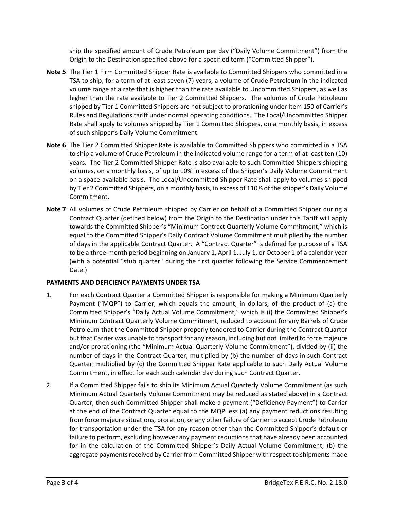ship the specified amount of Crude Petroleum per day ("Daily Volume Commitment") from the Origin to the Destination specified above for a specified term ("Committed Shipper").

- **Note 5**: The Tier 1 Firm Committed Shipper Rate is available to Committed Shippers who committed in a TSA to ship, for a term of at least seven (7) years, a volume of Crude Petroleum in the indicated volume range at a rate that is higher than the rate available to Uncommitted Shippers, as well as higher than the rate available to Tier 2 Committed Shippers. The volumes of Crude Petroleum shipped by Tier 1 Committed Shippers are not subject to prorationing under Item 150 of Carrier's Rules and Regulations tariff under normal operating conditions. The Local/Uncommitted Shipper Rate shall apply to volumes shipped by Tier 1 Committed Shippers, on a monthly basis, in excess of such shipper's Daily Volume Commitment.
- **Note 6**: The Tier 2 Committed Shipper Rate is available to Committed Shippers who committed in a TSA to ship a volume of Crude Petroleum in the indicated volume range for a term of at least ten (10) years. The Tier 2 Committed Shipper Rate is also available to such Committed Shippers shipping volumes, on a monthly basis, of up to 10% in excess of the Shipper's Daily Volume Commitment on a space-available basis. The Local/Uncommitted Shipper Rate shall apply to volumes shipped by Tier 2 Committed Shippers, on a monthly basis, in excess of 110% of the shipper's Daily Volume Commitment.
- **Note 7**: All volumes of Crude Petroleum shipped by Carrier on behalf of a Committed Shipper during a Contract Quarter (defined below) from the Origin to the Destination under this Tariff will apply towards the Committed Shipper's "Minimum Contract Quarterly Volume Commitment," which is equal to the Committed Shipper's Daily Contract Volume Commitment multiplied by the number of days in the applicable Contract Quarter. A "Contract Quarter" is defined for purpose of a TSA to be a three-month period beginning on January 1, April 1, July 1, or October 1 of a calendar year (with a potential "stub quarter" during the first quarter following the Service Commencement Date.)

#### **PAYMENTS AND DEFICIENCY PAYMENTS UNDER TSA**

- 1. For each Contract Quarter a Committed Shipper is responsible for making a Minimum Quarterly Payment ("MQP") to Carrier, which equals the amount, in dollars, of the product of (a) the Committed Shipper's "Daily Actual Volume Commitment," which is (i) the Committed Shipper's Minimum Contract Quarterly Volume Commitment, reduced to account for any Barrels of Crude Petroleum that the Committed Shipper properly tendered to Carrier during the Contract Quarter but that Carrier was unable to transport for any reason, including but not limited to force majeure and/or prorationing (the "Minimum Actual Quarterly Volume Commitment"), divided by (ii) the number of days in the Contract Quarter; multiplied by (b) the number of days in such Contract Quarter; multiplied by (c) the Committed Shipper Rate applicable to such Daily Actual Volume Commitment, in effect for each such calendar day during such Contract Quarter.
- 2. If a Committed Shipper fails to ship its Minimum Actual Quarterly Volume Commitment (as such Minimum Actual Quarterly Volume Commitment may be reduced as stated above) in a Contract Quarter, then such Committed Shipper shall make a payment ("Deficiency Payment") to Carrier at the end of the Contract Quarter equal to the MQP less (a) any payment reductions resulting from force majeure situations, proration, or any other failure of Carrier to accept Crude Petroleum for transportation under the TSA for any reason other than the Committed Shipper's default or failure to perform, excluding however any payment reductions that have already been accounted for in the calculation of the Committed Shipper's Daily Actual Volume Commitment; (b) the aggregate payments received by Carrier from Committed Shipper with respect to shipments made